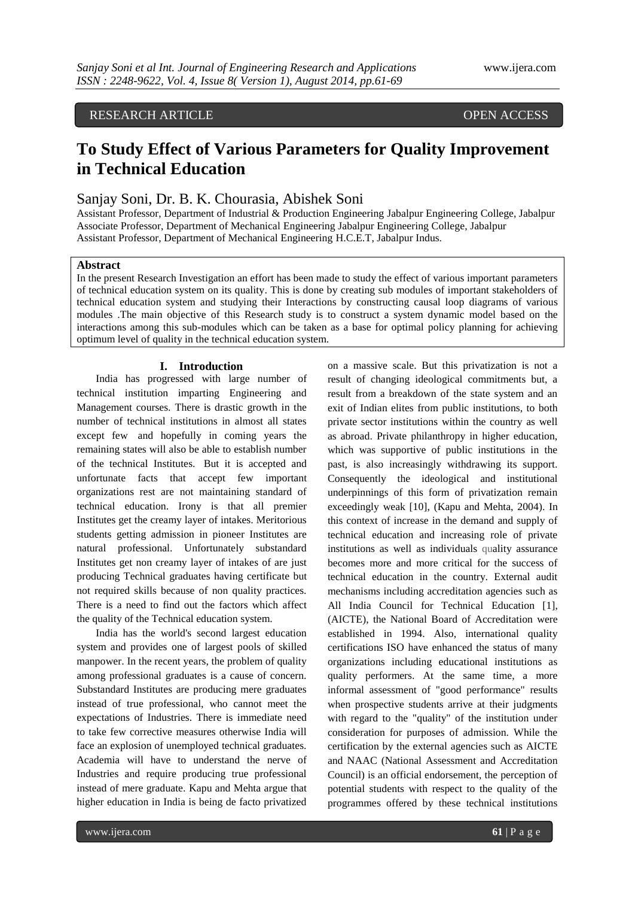## RESEARCH ARTICLE OPEN ACCESS

# **To Study Effect of Various Parameters for Quality Improvement in Technical Education**

## Sanjay Soni, Dr. B. K. Chourasia, Abishek Soni

Assistant Professor, Department of Industrial & Production Engineering Jabalpur Engineering College, Jabalpur Associate Professor, Department of Mechanical Engineering Jabalpur Engineering College, Jabalpur Assistant Professor, Department of Mechanical Engineering H.C.E.T, Jabalpur Indus.

#### **Abstract**

In the present Research Investigation an effort has been made to study the effect of various important parameters of technical education system on its quality. This is done by creating sub modules of important stakeholders of technical education system and studying their Interactions by constructing causal loop diagrams of various modules .The main objective of this Research study is to construct a system dynamic model based on the interactions among this sub-modules which can be taken as a base for optimal policy planning for achieving optimum level of quality in the technical education system.

## **I. Introduction**

India has progressed with large number of technical institution imparting Engineering and Management courses. There is drastic growth in the number of technical institutions in almost all states except few and hopefully in coming years the remaining states will also be able to establish number of the technical Institutes. But it is accepted and unfortunate facts that accept few important organizations rest are not maintaining standard of technical education. Irony is that all premier Institutes get the creamy layer of intakes. Meritorious students getting admission in pioneer Institutes are natural professional. Unfortunately substandard Institutes get non creamy layer of intakes of are just producing Technical graduates having certificate but not required skills because of non quality practices. There is a need to find out the factors which affect the quality of the Technical education system.

India has the world's second largest education system and provides one of largest pools of skilled manpower. In the recent years, the problem of quality among professional graduates is a cause of concern. Substandard Institutes are producing mere graduates instead of true professional, who cannot meet the expectations of Industries. There is immediate need to take few corrective measures otherwise India will face an explosion of unemployed technical graduates. Academia will have to understand the nerve of Industries and require producing true professional instead of mere graduate. Kapu and Mehta argue that higher education in India is being de facto privatized

on a massive scale. But this privatization is not a result of changing ideological commitments but, a result from a breakdown of the state system and an exit of Indian elites from public institutions, to both private sector institutions within the country as well as abroad. Private philanthropy in higher education, which was supportive of public institutions in the past, is also increasingly withdrawing its support. Consequently the ideological and institutional underpinnings of this form of privatization remain exceedingly weak [10], (Kapu and Mehta, 2004). In this context of increase in the demand and supply of technical education and increasing role of private institutions as well as individuals quality assurance becomes more and more critical for the success of technical education in the country. External audit mechanisms including accreditation agencies such as All India Council for Technical Education [1], (AICTE), the National Board of Accreditation were established in 1994. Also, international quality certifications ISO have enhanced the status of many organizations including educational institutions as quality performers. At the same time, a more informal assessment of "good performance" results when prospective students arrive at their judgments with regard to the "quality" of the institution under consideration for purposes of admission. While the certification by the external agencies such as AICTE and NAAC (National Assessment and Accreditation Council) is an official endorsement, the perception of potential students with respect to the quality of the programmes offered by these technical institutions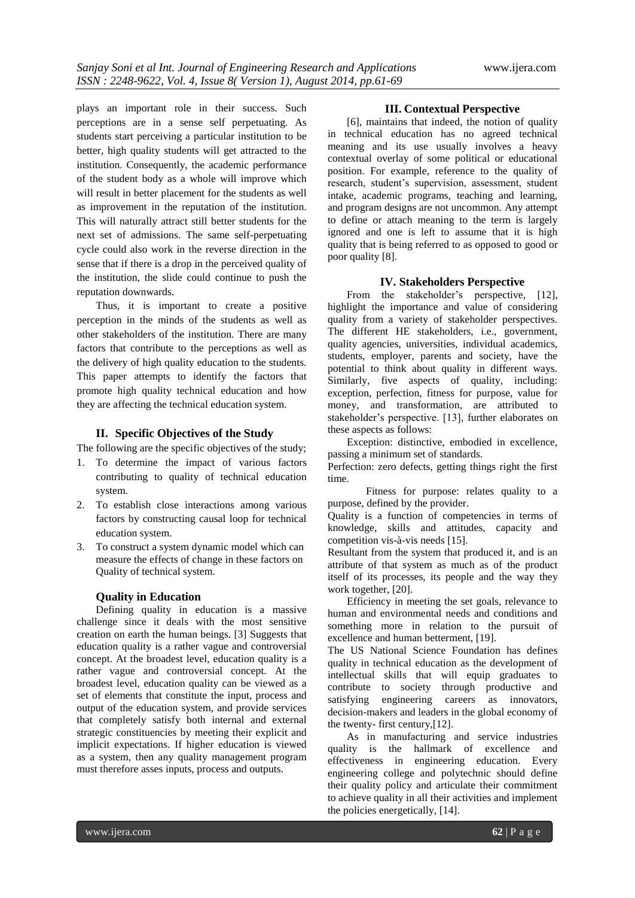plays an important role in their success. Such perceptions are in a sense self perpetuating. As students start perceiving a particular institution to be better, high quality students will get attracted to the institution. Consequently, the academic performance of the student body as a whole will improve which will result in better placement for the students as well as improvement in the reputation of the institution. This will naturally attract still better students for the next set of admissions. The same self-perpetuating cycle could also work in the reverse direction in the sense that if there is a drop in the perceived quality of the institution, the slide could continue to push the reputation downwards.

Thus, it is important to create a positive perception in the minds of the students as well as other stakeholders of the institution. There are many factors that contribute to the perceptions as well as the delivery of high quality education to the students. This paper attempts to identify the factors that promote high quality technical education and how they are affecting the technical education system.

## **II. Specific Objectives of the Study**

The following are the specific objectives of the study;

- 1. To determine the impact of various factors contributing to quality of technical education system.
- 2. To establish close interactions among various factors by constructing causal loop for technical education system.
- 3. To construct a system dynamic model which can measure the effects of change in these factors on Quality of technical system.

#### **Quality in Education**

Defining quality in education is a massive challenge since it deals with the most sensitive creation on earth the human beings. [3] Suggests that education quality is a rather vague and controversial concept. At the broadest level, education quality is a rather vague and controversial concept. At the broadest level, education quality can be viewed as a set of elements that constitute the input, process and output of the education system, and provide services that completely satisfy both internal and external strategic constituencies by meeting their explicit and implicit expectations. If higher education is viewed as a system, then any quality management program must therefore asses inputs, process and outputs.

## **III. Contextual Perspective**

[6], maintains that indeed, the notion of quality in technical education has no agreed technical meaning and its use usually involves a heavy contextual overlay of some political or educational position. For example, reference to the quality of research, student's supervision, assessment, student intake, academic programs, teaching and learning, and program designs are not uncommon. Any attempt to define or attach meaning to the term is largely ignored and one is left to assume that it is high quality that is being referred to as opposed to good or poor quality [8].

## **IV. Stakeholders Perspective**

From the stakeholder's perspective, [12], highlight the importance and value of considering quality from a variety of stakeholder perspectives. The different HE stakeholders, i.e., government, quality agencies, universities, individual academics, students, employer, parents and society, have the potential to think about quality in different ways. Similarly, five aspects of quality, including: exception, perfection, fitness for purpose, value for money, and transformation, are attributed to stakeholder's perspective. [13], further elaborates on these aspects as follows:

Exception: distinctive, embodied in excellence, passing a minimum set of standards.

Perfection: zero defects, getting things right the first time.

Fitness for purpose: relates quality to a purpose, defined by the provider.

Quality is a function of competencies in terms of knowledge, skills and attitudes, capacity and competition vis-à-vis needs [15].

Resultant from the system that produced it, and is an attribute of that system as much as of the product itself of its processes, its people and the way they work together, [20].

Efficiency in meeting the set goals, relevance to human and environmental needs and conditions and something more in relation to the pursuit of excellence and human betterment, [19].

The US National Science Foundation has defines quality in technical education as the development of intellectual skills that will equip graduates to contribute to society through productive and satisfying engineering careers as innovators, decision-makers and leaders in the global economy of the twenty- first century,[12].

As in manufacturing and service industries quality is the hallmark of excellence and effectiveness in engineering education. Every engineering college and polytechnic should define their quality policy and articulate their commitment to achieve quality in all their activities and implement the policies energetically, [14].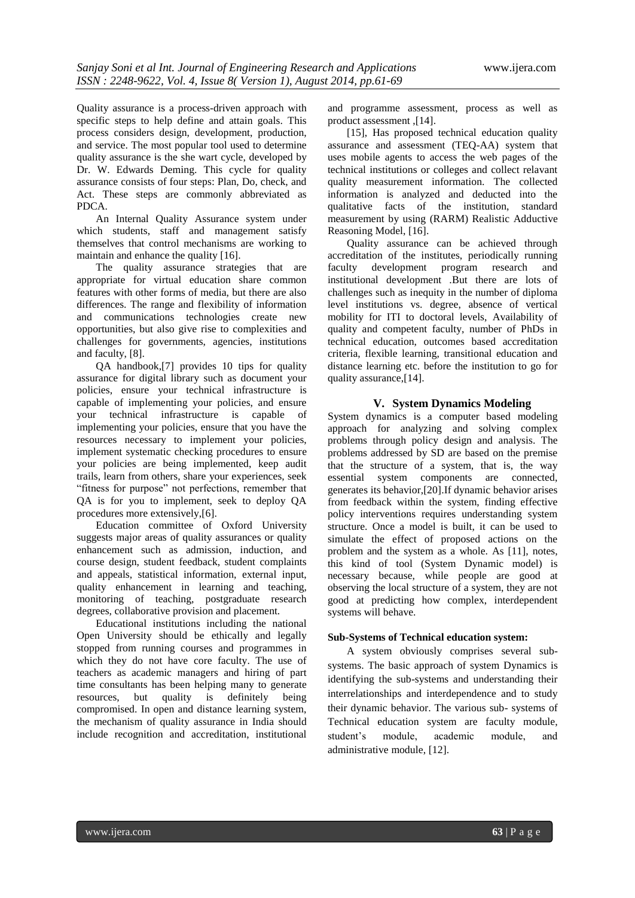Quality assurance is a process-driven approach with specific steps to help define and attain goals. This process considers design, development, production, and service. The most popular tool used to determine quality assurance is the she wart cycle, developed by Dr. W. Edwards Deming. This cycle for quality assurance consists of four steps: Plan, Do, check, and Act. These steps are commonly abbreviated as PDCA.

An Internal Quality Assurance system under which students, staff and management satisfy themselves that control mechanisms are working to maintain and enhance the quality [16].

The quality assurance strategies that are appropriate for virtual education share common features with other forms of media, but there are also differences. The range and flexibility of information and communications technologies create new opportunities, but also give rise to complexities and challenges for governments, agencies, institutions and faculty, [8].

QA handbook,[7] provides 10 tips for quality assurance for digital library such as document your policies, ensure your technical infrastructure is capable of implementing your policies, and ensure your technical infrastructure is capable of implementing your policies, ensure that you have the resources necessary to implement your policies, implement systematic checking procedures to ensure your policies are being implemented, keep audit trails, learn from others, share your experiences, seek "fitness for purpose" not perfections, remember that QA is for you to implement, seek to deploy QA procedures more extensively,[6].

Education committee of Oxford University suggests major areas of quality assurances or quality enhancement such as admission, induction, and course design, student feedback, student complaints and appeals, statistical information, external input, quality enhancement in learning and teaching, monitoring of teaching, postgraduate research degrees, collaborative provision and placement.

Educational institutions including the national Open University should be ethically and legally stopped from running courses and programmes in which they do not have core faculty. The use of teachers as academic managers and hiring of part time consultants has been helping many to generate resources, but quality is definitely being compromised. In open and distance learning system, the mechanism of quality assurance in India should include recognition and accreditation, institutional

and programme assessment, process as well as product assessment ,[14].

[15], Has proposed technical education quality assurance and assessment (TEQ-AA) system that uses mobile agents to access the web pages of the technical institutions or colleges and collect relavant quality measurement information. The collected information is analyzed and deducted into the qualitative facts of the institution, standard measurement by using (RARM) Realistic Adductive Reasoning Model, [16].

Quality assurance can be achieved through accreditation of the institutes, periodically running faculty development program research and institutional development .But there are lots of challenges such as inequity in the number of diploma level institutions vs. degree, absence of vertical mobility for ITI to doctoral levels, Availability of quality and competent faculty, number of PhDs in technical education, outcomes based accreditation criteria, flexible learning, transitional education and distance learning etc. before the institution to go for quality assurance,[14].

## **V. System Dynamics Modeling**

System dynamics is a computer based modeling approach for analyzing and solving complex problems through policy design and analysis. The problems addressed by SD are based on the premise that the structure of a system, that is, the way essential system components are connected, generates its behavior,[20].If dynamic behavior arises from feedback within the system, finding effective policy interventions requires understanding system structure. Once a model is built, it can be used to simulate the effect of proposed actions on the problem and the system as a whole. As [11], notes, this kind of tool (System Dynamic model) is necessary because, while people are good at observing the local structure of a system, they are not good at predicting how complex, interdependent systems will behave.

## **Sub-Systems of Technical education system:**

A system obviously comprises several subsystems. The basic approach of system Dynamics is identifying the sub-systems and understanding their interrelationships and interdependence and to study their dynamic behavior. The various sub- systems of Technical education system are faculty module, student's module, academic module, and administrative module, [12].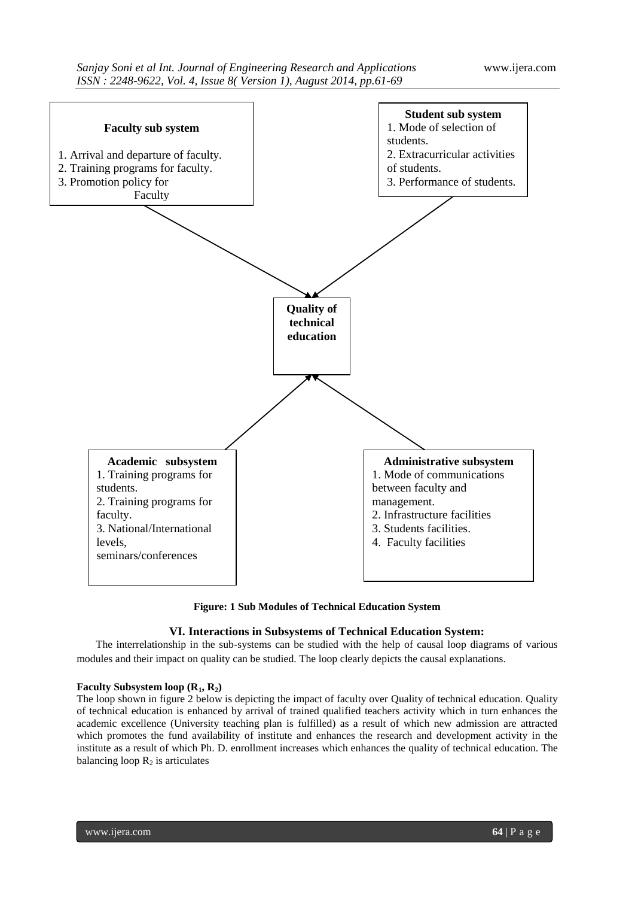

**Figure: 1 Sub Modules of Technical Education System**

## **VI. Interactions in Subsystems of Technical Education System:**

The interrelationship in the sub-systems can be studied with the help of causal loop diagrams of various modules and their impact on quality can be studied. The loop clearly depicts the causal explanations.

## **Faculty Subsystem loop (R1, R2)**

The loop shown in figure 2 below is depicting the impact of faculty over Quality of technical education. Quality of technical education is enhanced by arrival of trained qualified teachers activity which in turn enhances the academic excellence (University teaching plan is fulfilled) as a result of which new admission are attracted which promotes the fund availability of institute and enhances the research and development activity in the institute as a result of which Ph. D. enrollment increases which enhances the quality of technical education. The balancing loop  $R_2$  is articulates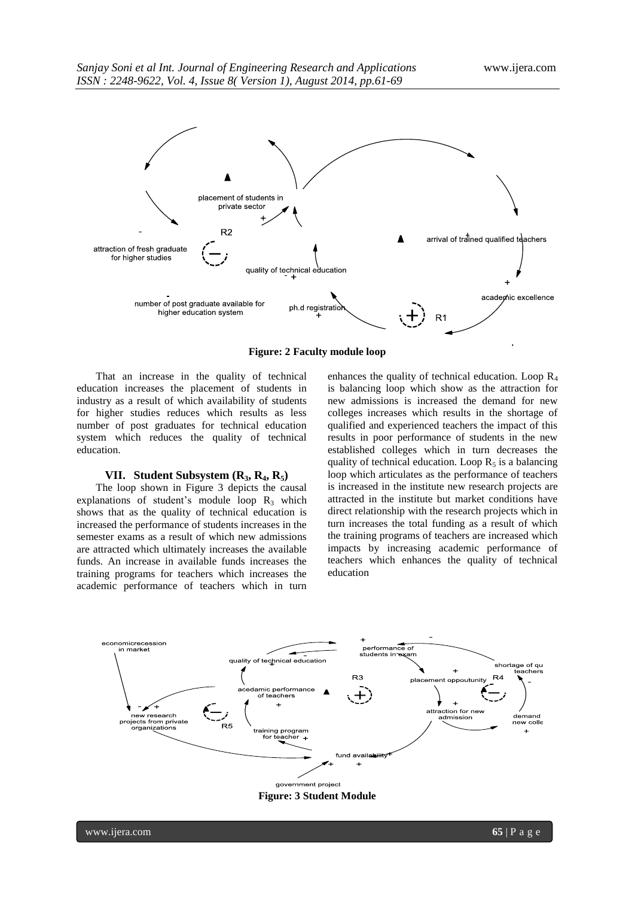

**Figure: 2 Faculty module loop**

That an increase in the quality of technical education increases the placement of students in industry as a result of which availability of students for higher studies reduces which results as less number of post graduates for technical education system which reduces the quality of technical education.

#### **VII. Student Subsystem**  $(R_3, R_4, R_5)$

The loop shown in Figure 3 depicts the causal explanations of student's module loop  $R_3$  which shows that as the quality of technical education is increased the performance of students increases in the semester exams as a result of which new admissions are attracted which ultimately increases the available funds. An increase in available funds increases the training programs for teachers which increases the academic performance of teachers which in turn

enhances the quality of technical education. Loop  $R_4$ is balancing loop which show as the attraction for new admissions is increased the demand for new colleges increases which results in the shortage of qualified and experienced teachers the impact of this results in poor performance of students in the new established colleges which in turn decreases the quality of technical education. Loop  $R_5$  is a balancing loop which articulates as the performance of teachers is increased in the institute new research projects are attracted in the institute but market conditions have direct relationship with the research projects which in turn increases the total funding as a result of which the training programs of teachers are increased which impacts by increasing academic performance of teachers which enhances the quality of technical education



www.ijera.com **65** | P a g e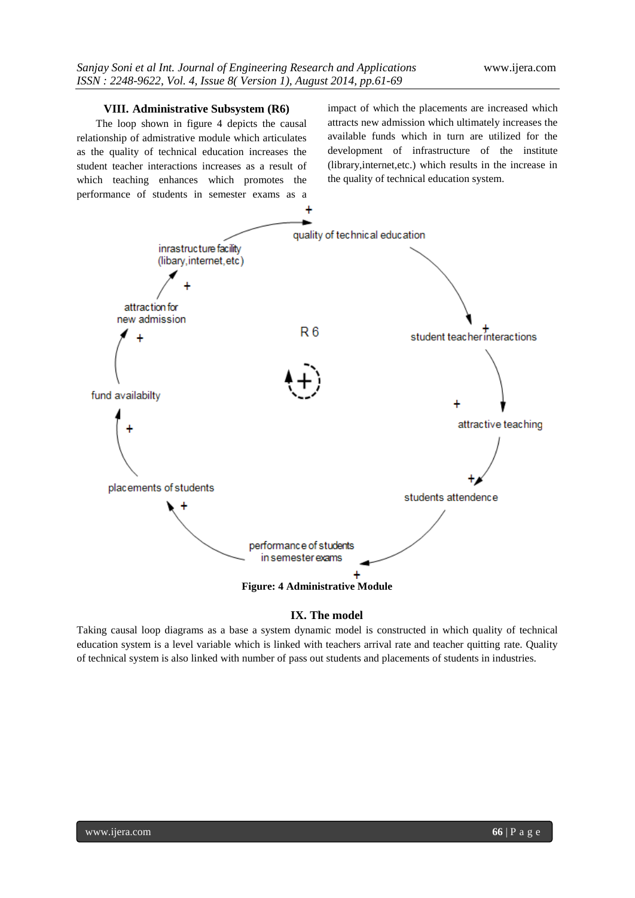## **VIII. Administrative Subsystem (R6)**

The loop shown in figure 4 depicts the causal relationship of admistrative module which articulates as the quality of technical education increases the student teacher interactions increases as a result of which teaching enhances which promotes the performance of students in semester exams as a impact of which the placements are increased which attracts new admission which ultimately increases the available funds which in turn are utilized for the development of infrastructure of the institute (library,internet,etc.) which results in the increase in the quality of technical education system.



## **IX. The model**

Taking causal loop diagrams as a base a system dynamic model is constructed in which quality of technical education system is a level variable which is linked with teachers arrival rate and teacher quitting rate. Quality of technical system is also linked with number of pass out students and placements of students in industries.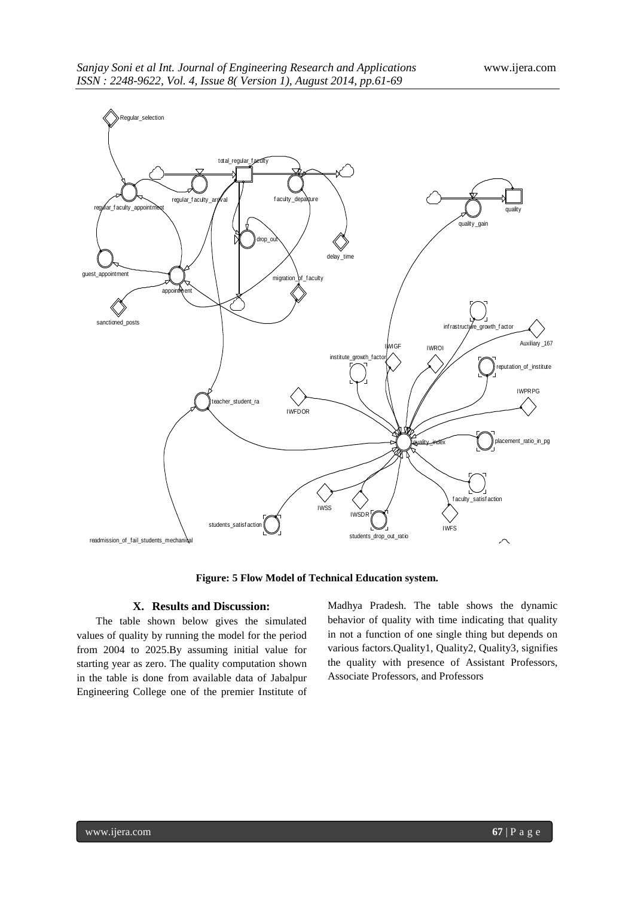

**Figure: 5 Flow Model of Technical Education system.**

## **X. Results and Discussion:**

The table shown below gives the simulated values of quality by running the model for the period from 2004 to 2025.By assuming initial value for starting year as zero. The quality computation shown in the table is done from available data of Jabalpur Engineering College one of the premier Institute of Madhya Pradesh. The table shows the dynamic behavior of quality with time indicating that quality in not a function of one single thing but depends on various factors.Quality1, Quality2, Quality3, signifies the quality with presence of Assistant Professors, Associate Professors, and Professors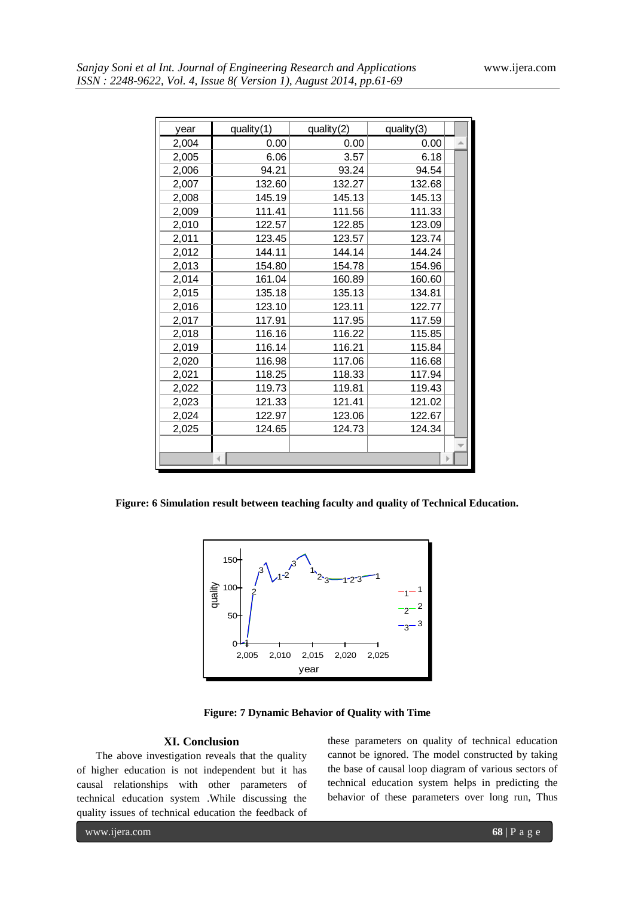| year  | quality(1) | quality(2) | quality(3) |  |
|-------|------------|------------|------------|--|
| 2,004 | 0.00       | 0.00       | 0.00       |  |
| 2,005 | 6.06       | 3.57       | 6.18       |  |
| 2,006 | 94.21      | 93.24      | 94.54      |  |
| 2,007 | 132.60     | 132.27     | 132.68     |  |
| 2,008 | 145.19     | 145.13     | 145.13     |  |
| 2,009 | 111.41     | 111.56     | 111.33     |  |
| 2,010 | 122.57     | 122.85     | 123.09     |  |
| 2,011 | 123.45     | 123.57     | 123.74     |  |
| 2,012 | 144.11     | 144.14     | 144.24     |  |
| 2,013 | 154.80     | 154.78     | 154.96     |  |
| 2,014 | 161.04     | 160.89     | 160.60     |  |
| 2,015 | 135.18     | 135.13     | 134.81     |  |
| 2,016 | 123.10     | 123.11     | 122.77     |  |
| 2,017 | 117.91     | 117.95     | 117.59     |  |
| 2,018 | 116.16     | 116.22     | 115.85     |  |
| 2,019 | 116.14     | 116.21     | 115.84     |  |
| 2,020 | 116.98     | 117.06     | 116.68     |  |
| 2,021 | 118.25     | 118.33     | 117.94     |  |
| 2,022 | 119.73     | 119.81     | 119.43     |  |
| 2,023 | 121.33     | 121.41     | 121.02     |  |
| 2,024 | 122.97     | 123.06     | 122.67     |  |
| 2,025 | 124.65     | 124.73     | 124.34     |  |
|       |            |            |            |  |
|       |            |            |            |  |
|       |            |            |            |  |

**Figure: 6 Simulation result between teaching faculty and quality of Technical Education.**



**Figure: 7 Dynamic Behavior of Quality with Time**

## **XI. Conclusion**

The above investigation reveals that the quality of higher education is not independent but it has causal relationships with other parameters of technical education system .While discussing the quality issues of technical education the feedback of

these parameters on quality of technical education cannot be ignored. The model constructed by taking the base of causal loop diagram of various sectors of technical education system helps in predicting the behavior of these parameters over long run, Thus